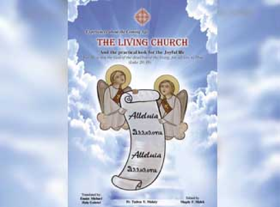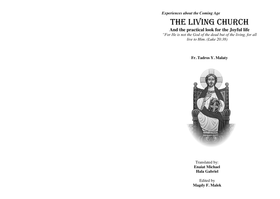*Experiences about the Coming Age*

# THE LIVING CHURCH

# **And the practical look for the Joyful life**

*"For He is not the God of the dead but of the living, for all live to Him. (Luke 20:38)*

#### **Fr. Tadros Y. Malaty**



Translated by: **Enaiat Michael Hala Gabriel**

Edited by **Magdy F. Malek**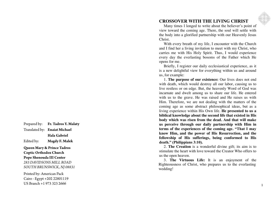Translated by: **Enaiat Michael Hala Gabriel** Edited by: **Magdy F. Malek Queen Mary & Prince Tadros Coptic Orthodox Church Pope Shenouda III Center** *283 DAVIDSONS MILL ROAD*

*SOUTH BRUNSWICK, NJ 08831*

Prepared by: **Fr. Tadros Y. Malaty**

Printed by: American Pack Cairo - Egypt +202 22801119 US Branch +1 973 323 2666

## **CROSSOVER WITH THE LIVING CHRIST**

Many times I longed to write about the believer's point of view toward the coming age. There, the soul will settle with the body into a glorified partnership with our Heavenly Jesus Christ.

With every breath of my life, I encounter with the Church and I find her a living invitation to meet with my Christ, who carries me with His Holy Spirit. Thus, I would experience every day the everlasting bosoms of the Father which He opens for me.

Briefly, I register our daily ecclesiastical experience, as it is a new delightful view for everything within us and around us, for example:

1. **The purpose of our existence:** Our lives does not end with death, which would destroy all our labor, causing us to live restless or on edge. But, the heavenly Word of God was incarnate and dwelt among us to share our life. He entered with us to the grave. He was raised and He raises us with Him. Therefore, we are not dealing with the matters of the coming age as some abstract philosophical ideas, but as a living experience within His Own life. **He presented to us a biblical knowledge about the second life that existed in His body which was risen from the dead. And that will make us perceive through our daily partnership with Him in terms of the experiences of the coming age. "That I may know Him, and the power of His Resurrection, and the fellowship of His sufferings, being conformed to His death." (Philippians 3:10).**

2. **The Creation** is a wonderful divine gift; its aim is to stimulate the heart with love toward the Creator Who offers to us the open heaven.

Righteousness of Christ, who prepares us to the everlasting 3. **The Virtuous Life:** It is an enjoyment of the subtractual the subtractual the 3.5 of Christ, who prepares us to the everlasting dding! wedding!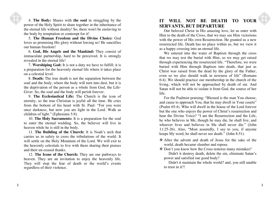4. **The Body:** Shares with **the soul** in struggling by the power of the Holy Spirit to share together in the inheritance of the eternal life without duality! So, there won't be enslaving to the body by temptation or contempt for it!

5. **The Human Freedom and the Divine Choice:** God loves us promising His glory without forcing us! He sanctifies our human freedom!

6. **God, His Angels and the Mankind:** They consist of immaculate partnership, hard to be perceived. It is strongly revealed in the eternal life!

7. **Worshiping God:** It is not a duty we have to fulfill; it is a preparation for the heavenly eternal life where it takes place on a celestial level.

8. **Death:** The true death is not the separation between the soul and the body, where the body will turn into dust, but it is the deprivation of the person as a whole from God, the Life-Giver. So, the soul and the body will perish forever.

9. **The Ecclesiastical Life:** The Church is the icon of eternity, so the true Christian is joyful all the time. He cries from the bottom of his heart with St. Paul: "For you were once darkness, but now you are light in the Lord. Walk as children of light." (Ephesians 5:8).

10. **The Holy Sacraments:** It is a preparation for the soul to enter the eternal wedding. So, the believer will live in heaven while he is still in the body.

11. **The Building of the Church:** It is Noah's arch that carries us in safety to cross the tribulations of the world. It will settle on the Holy Mountain of the Lord. We will exit to the heavenly celestials to live with them sharing their praises and their un-ceased thanks.

 $\frac{1}{2}$  to trust in it?! 12. **The Icons of the Church:** They are our pathways to heaven. They are an invitation to enjoy the heavenly life. They will stop the fear of death or the world's events regardless of their violence.

### **IT WILL NOT BE DEATH TO YOUR SERVANTS, BUT DEPARTURE**

Our beloved Christ in His amazing love, let us enter with Him to the death of the Cross, that we may see Him victorious with the power of His own Resurrection. He granted us a new resurrected life. Death has no place within us, but we view it as a happy crossing into an eternal life.

We entered into the water of Baptism through the cross that we may test the burial with Him, so we may get raised through experiencing the resurrected life. "Therefore, we were buried with Him through Baptism into death, that just as Christ was raised from the dead by the glory of the Father, even so we also should walk in newness of life" (Romans 6:4). We should practice our membership in the church of the living, which will not be approached by death of sin. And Satan will not be able to isolate it from God, the source of her life.

For the Psalmist praising: "Blessed is the man You choose, and cause to approach You, that he may dwell in Your courts" (Psalm 65:4). Who will dwell in the house of the Lord forever but the one who enjoys the power of Christ's resurrection and hear the Divine Voice? "I am the Resurrection and the Life. he who believes in Me, though he may die, he shall live, and whoever lives and believes in Me shall never die." (John 11:25-26). Also, "Most assuredly, I say to you, if anyone keeps My word, he shall never see death." (John 8:51).

- After the advent and death of Jesus for the sake of the world, death became slumber and repose.
- Don't you know how the Cross restores many mistakes?

Didn't it destroy death, delete the sin, eliminate Satan's power and satisfied our good body?

Didn't it maintain the whole world? and, you still unable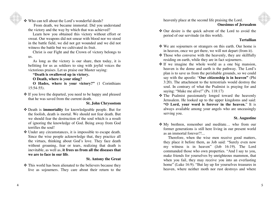❖ Who can tell about the Lord's wonderful deeds?

From death, we became immortal. Did you understand the victory and the way by which that was achieved?

Learn how you obtained this victory without effort or sweat. Our weapons did not smear with blood nor we stood in the battle field, we did not get wounded and we did not witness the battle but we cultivated its fruit.

Christ is our Fight and the Crown of victory belongs to us.

As long as the victory is our share, then today, it is befitting for us as soldiers to sing with joyful voices the victorious praises. Let us praise our Master saying:

**"Death is swallowed up in victory.** 

**O Death, where is your sting?** 

**O Hades, where is your victory?"** (1 Corinthians 15:54 -55).

 If you love the departed, you need to be happy and pleased that he was saved from the current death.

#### **St. John Chrysostom**

- Death is **immortality** for knowledgeable people. But for the foolish, death is mortal. We should not fear death. But we should fear the destruction of the soul which is a result of ignoring the knowledge of God. Being away from God terrifies the soul!
- Under any circumstances, it is impossible to escape death. Since the wise people acknowledge that, they practice all the virtues, thinking about God's love. They face death without groaning, fear or tears, realizing that death is inevitable, as well as, **it frees us from all the diseases that we are to face in our life**.

#### **St. Antony the Great**

 This world has been alienated to the believers because they live as sojourners. They care about their return to the heavenly place at the second life praising the Lord.

#### **Onesimus of Jerusalem**

 Our desire is the quick advent of the Lord to avoid the period of our servitude (in this world).

#### **Tertu llian**

- We are sojourners or strangers on this earth. Our home is in heaven, once we get there, we will not depart (from it).
- $\triangle$  Those who converse with the heavenly, they are skillfully residing on earth, while they are in fact sojourners.
- $\cdot$  If we imagine the whole world as a one big mansion, heaven is the dome and earth is the pathway. The Lord's plan is to save us from the perishable grounds, so we could say with the apostle: "**Our citizenship is in heaven"** (Phi 3:20). The attachment to the terrestrials would destroy the soul. In contrary of what the Psalmist is praying for and saying: "Make me alive!" (Ps. 118:17)
- The Psalmist passionately longed toward the heavenly Jerusalem. He looked up to the upper kingdoms and said: **"O Lord, your word is forever in the heaven.** " It is always available among your angels who are unceasingly serving you.

#### **St. Augustine**

 My brethren, remember and meditate… who from our former generations is still here living in our present world as an immortal forever?!...

Therefore, when the wise men receive good matters, they place it before them, as Job said: "Surely even now my witness is in heaven" (Job 16:19). The Lord commanded those who own properties. "And I say to you, make friends for yourselves by unrighteous mammon, that when you fail, they may receive you into an everlasting home" (Luke 16:9). "But lay up for yourselves treasures in heaven, where neither moth nor rust destroys and where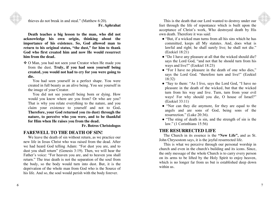thieves do not break in and steal." (Matthew 6:20). **Fr. Aphrahat**

**Death teaches a big lesson to the man, who did not acknowledge his own origin, thinking about the importance of his existence. So, God allowed man to return to his original status, "the dust," for him to thank God who first created him and now He would resurrect him from the dead.** 

 O Man, you had not seen your Creator when He made you from the dust. **Truly, if you had seen yourself being created, you would not had to cry for you were going to die.**

You had seen yourself in a perfect shape. You were created in full beauty as an alive being. You see yourself in the image of your Creator.

You did not see yourself being born or dying. How would you know where are you from? Or who are you? That is why you relate everything to the nature, and you claim your existence to yourself and not to God**. Therefore, your God returned you (to dust) through the nature, to perceive who you were, and to be thankful for Him when He raises you from the dead.** 

**Fr. Botros Christologos** 

## **FAREWELL TO THE DEATH OF SIN!**

We leave the death of sin without return, as we practice our new life in Jesus Christ who was raised from the dead. After we had heard God telling Adam: "For dust you are, and to dust you shall return" (Genesis 3:19). Then, we will hear the Father's voice: "For heaven you are, and to heaven you shall return." The true death is not the separation of the soul from the body, so the body would turn into dust. But, it is the deprivation of the whole man from God who is the Source of his life. And so, the soul would perish with the body forever.

7

This is the death that our Lord wanted to destroy under our feet through the life of repentance which is built upon the acceptance of Christ's work, Who destroyed death by His own death. Therefore it was said:

- "But, if a wicked man turns from all his sins which he has committed, keeps all My statutes. And, does what is lawful and right; he shall surely live; he shall not die." (Ezekiel 18:21)
- "Do I have any pleasure at all that the wicked should die? says the Lord God, "and not that he should turn from his ways and live?" (Ezekiel 18:23)
- "For I have no pleasure in the death of one who dies," says the Lord God. "therefore turn and live!" (Ezekiel 18:32)
- "Say to them: "As I live, says the Lord God, "I have no pleasure in the death of the wicked, but that the wicked turn from his way and live. Turn, turn from your evil ways! For why should you die, O house of Israel?" (Ezekiel 33:11)
- "Nor can they die anymore, for they are equal to the angels and are sons of God, being sons of the resurrection." (Luke 20:36).
- "The sting of death is sin, and the strength of sin is the law." (1 Corinthians 15:56)

## **THE RESURRECTED LIFE**

The Church in its essence is the **"New Life",** and as St. John Chrysostom says, it is the joyful resurrected life.

This is what we perceive through our personal worship in church and even in the church's building and its icons. Since, the only message of the whole Church is to carry every person on its arms to be lifted by the Holy Spirit to enjoy heaven, which is no longer far from us but is established deep down within us.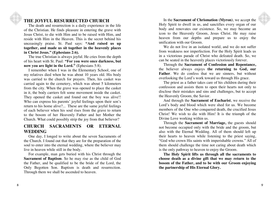## **THE JOYFUL RESURRECTED CHURCH**

The death and resurrection is a daily experience in the life of the Christian. He finds pleasure in entering the grave with Jesus Christ, to die with Him and to be raised with Him, and reside with Him in the Heaven. This is the secret behind his unceasingly praise. St. Paul says: **"And raised us up together, and made us sit together in the heavenly places in Christ Jesus." (Ephesians 2:6).** 

The true Christian is always joyful. He cries from the depth of his heart with St. Paul: **"For you were once darkness, but now you are light in the Lord."** (Ephesians 5:8).

I remember when I was in the Elementary School, one of my relatives died when he was about 10 years old. His body was carried to the church for prayers. Then, his casket was carried again to the cemetery, which was about 5 kilometers from the city. When the grave was opened to place the casket in it, the body carriers felt some movement inside the casket. They opened the casket and found out the boy was alive!! Who can express his parents' joyful feelings upon their son's return to his home alive?... These are the same joyful feelings of each believer when his soul rises from the grave to return to the bosom of her Heavenly Father and her Mother the Church. What could possibly strip the joy from that believer?

## **CHURCH SACRAMENTS OR ETERNAL WEDDING**

One day, I longed to write about the seven Sacraments of the Church. I found out that they are for the preparation of the soul to enter into the eternal wedding, where the believer may live in heaven while still in the body.

For example, man gets buried with his Christ through the **Sacrament of Baptism**. So he may rise as the child of God the Father, and be qualified to be the bride of the Lord, the Only Begotten Son. Baptism is death and resurrection. Through them we shall be ascended to heaven.

In the **Sacrament of Chrismation (Myron)**, we accept the Holy Spirit to dwell in us, and sanctifies every organ of our body and renovates our existence. So, we may become an icon to the Heavenly Groom, Jesus Christ. He may raise heaven from our depths and prepare us to enjoy the unification with our Groom.

We do not live in an isolated world, and we do not suffer from weakness nor imperfection. For the Holy Spirit leads us in a victorious parade of Christ who defeated death. So, we can be seated in the heavenly places victoriously forever.

Through the **Sacrament of Confession and Repentance,**  the believer always enjoys **the returning to God, our Father.** We do confess that we are sinners, but without overlooking the Lord's work toward us through His grace.

The priest as a father takes care of his children during their confession and assists them to open their hearts not only to disclose their mistakes and sins and challenges, but to accept the Heavenly Groom, the Savior.

And through the **Sacrament of Eucharist**, we receive the Lord's body and blood which were shed for us. We become members of the One who conquered death, the crucified Jesus Christ! We wish to die with Him! It is the triumph of the Divine Love working within us.

Through the **Sacrament of Marriage,** the guests should not become occupied only with the bride and the groom, but also with the Eternal Wedding. All of them should left up their hearts to heaven while listening to the priest saying, "God who crown His saints with imperishable crowns." All of them should challenge the time not caring about death which is the only pathway to heaven to enjoy the Groom.

**The Holy Spirit lifts us through all the sacraments to choose death as a divine gift that we may return to the bosom of the Father, and to be with our Groom enjoying the partnership of His Eternal Glory.**